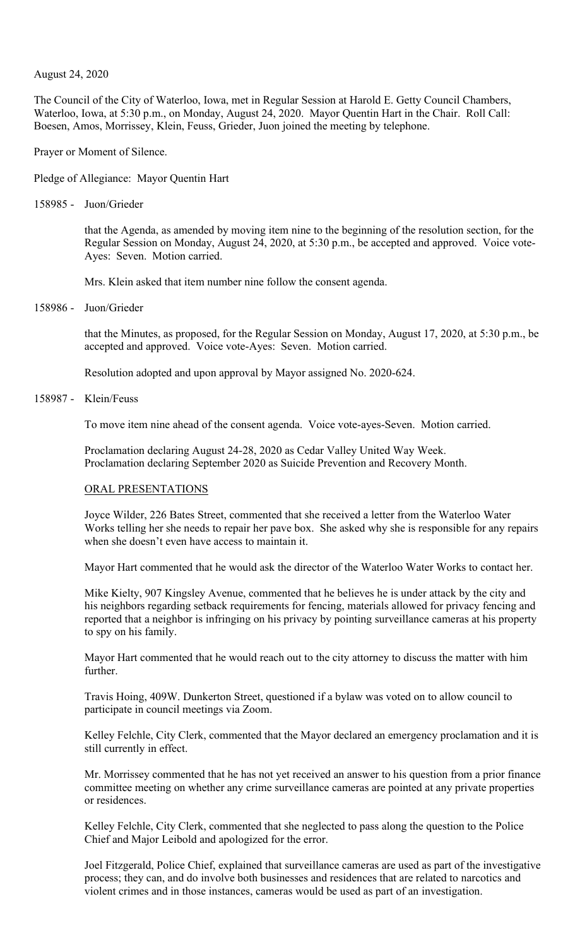### August 24, 2020

The Council of the City of Waterloo, Iowa, met in Regular Session at Harold E. Getty Council Chambers, Waterloo, Iowa, at 5:30 p.m., on Monday, August 24, 2020. Mayor Quentin Hart in the Chair. Roll Call: Boesen, Amos, Morrissey, Klein, Feuss, Grieder, Juon joined the meeting by telephone.

Prayer or Moment of Silence.

Pledge of Allegiance: Mayor Quentin Hart

158985 - Juon/Grieder

that the Agenda, as amended by moving item nine to the beginning of the resolution section, for the Regular Session on Monday, August 24, 2020, at 5:30 p.m., be accepted and approved. Voice vote-Ayes: Seven. Motion carried.

Mrs. Klein asked that item number nine follow the consent agenda.

158986 - Juon/Grieder

that the Minutes, as proposed, for the Regular Session on Monday, August 17, 2020, at 5:30 p.m., be accepted and approved. Voice vote-Ayes: Seven. Motion carried.

Resolution adopted and upon approval by Mayor assigned No. 2020-624.

158987 - Klein/Feuss

To move item nine ahead of the consent agenda. Voice vote-ayes-Seven. Motion carried.

Proclamation declaring August 24-28, 2020 as Cedar Valley United Way Week. Proclamation declaring September 2020 as Suicide Prevention and Recovery Month.

#### ORAL PRESENTATIONS

Joyce Wilder, 226 Bates Street, commented that she received a letter from the Waterloo Water Works telling her she needs to repair her pave box. She asked why she is responsible for any repairs when she doesn't even have access to maintain it.

Mayor Hart commented that he would ask the director of the Waterloo Water Works to contact her.

Mike Kielty, 907 Kingsley Avenue, commented that he believes he is under attack by the city and his neighbors regarding setback requirements for fencing, materials allowed for privacy fencing and reported that a neighbor is infringing on his privacy by pointing surveillance cameras at his property to spy on his family.

Mayor Hart commented that he would reach out to the city attorney to discuss the matter with him further.

Travis Hoing, 409W. Dunkerton Street, questioned if a bylaw was voted on to allow council to participate in council meetings via Zoom.

Kelley Felchle, City Clerk, commented that the Mayor declared an emergency proclamation and it is still currently in effect.

Mr. Morrissey commented that he has not yet received an answer to his question from a prior finance committee meeting on whether any crime surveillance cameras are pointed at any private properties or residences.

Kelley Felchle, City Clerk, commented that she neglected to pass along the question to the Police Chief and Major Leibold and apologized for the error.

Joel Fitzgerald, Police Chief, explained that surveillance cameras are used as part of the investigative process; they can, and do involve both businesses and residences that are related to narcotics and violent crimes and in those instances, cameras would be used as part of an investigation.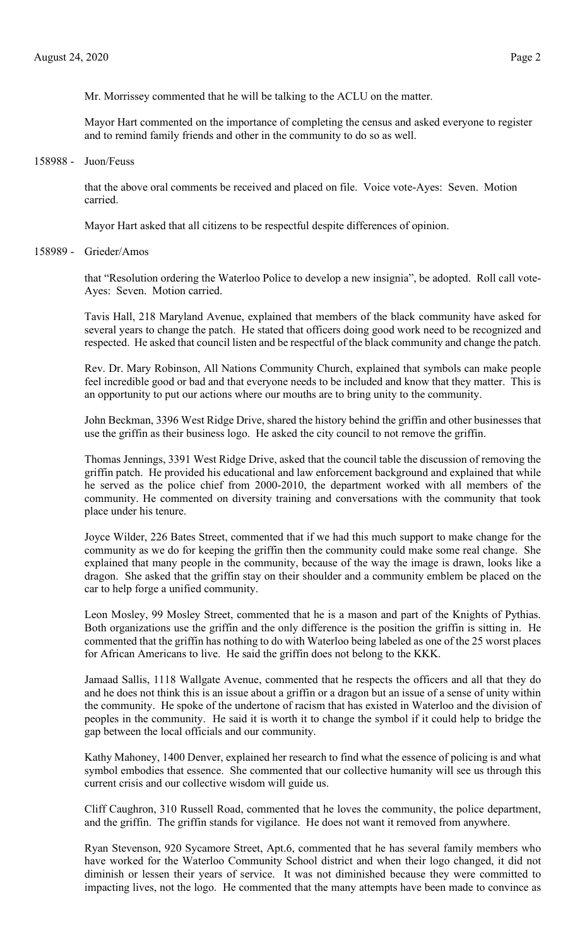Mr. Morrissey commented that he will be talking to the ACLU on the matter.

Mayor Hart commented on the importance of completing the census and asked everyone to register and to remind family friends and other in the community to do so as well.

158988 - Juon/Feuss

that the above oral comments be received and placed on file. Voice vote-Ayes: Seven. Motion carried.

Mayor Hart asked that all citizens to be respectful despite differences of opinion.

158989 - Grieder/Amos

that "Resolution ordering the Waterloo Police to develop a new insignia", be adopted. Roll call vote-Ayes: Seven. Motion carried.

Tavis Hall, 218 Maryland Avenue, explained that members of the black community have asked for several years to change the patch. He stated that officers doing good work need to be recognized and respected. He asked that council listen and be respectful of the black community and change the patch.

Rev. Dr. Mary Robinson, All Nations Community Church, explained that symbols can make people feel incredible good or bad and that everyone needs to be included and know that they matter. This is an opportunity to put our actions where our mouths are to bring unity to the community.

John Beckman, 3396 West Ridge Drive, shared the history behind the griffin and other businesses that use the griffin as their business logo. He asked the city council to not remove the griffin.

Thomas Jennings, 3391 West Ridge Drive, asked that the council table the discussion of removing the griffin patch. He provided his educational and law enforcement background and explained that while he served as the police chief from 2000-2010, the department worked with all members of the community. He commented on diversity training and conversations with the community that took place under his tenure.

Joyce Wilder, 226 Bates Street, commented that if we had this much support to make change for the community as we do for keeping the griffin then the community could make some real change. She explained that many people in the community, because of the way the image is drawn, looks like a dragon. She asked that the griffin stay on their shoulder and a community emblem be placed on the car to help forge a unified community.

Leon Mosley, 99 Mosley Street, commented that he is a mason and part of the Knights of Pythias. Both organizations use the griffin and the only difference is the position the griffin is sitting in. He commented that the griffin has nothing to do with Waterloo being labeled as one of the 25 worst places for African Americans to live. He said the griffin does not belong to the KKK.

Jamaad Sallis, 1118 Wallgate Avenue, commented that he respects the officers and all that they do and he does not think this is an issue about a griffin or a dragon but an issue of a sense of unity within the community. He spoke of the undertone of racism that has existed in Waterloo and the division of peoples in the community. He said it is worth it to change the symbol if it could help to bridge the gap between the local officials and our community.

Kathy Mahoney, 1400 Denver, explained her research to find what the essence of policing is and what symbol embodies that essence. She commented that our collective humanity will see us through this current crisis and our collective wisdom will guide us.

Cliff Caughron, 310 Russell Road, commented that he loves the community, the police department, and the griffin. The griffin stands for vigilance. He does not want it removed from anywhere.

Ryan Stevenson, 920 Sycamore Street, Apt.6, commented that he has several family members who have worked for the Waterloo Community School district and when their logo changed, it did not diminish or lessen their years of service. It was not diminished because they were committed to impacting lives, not the logo. He commented that the many attempts have been made to convince as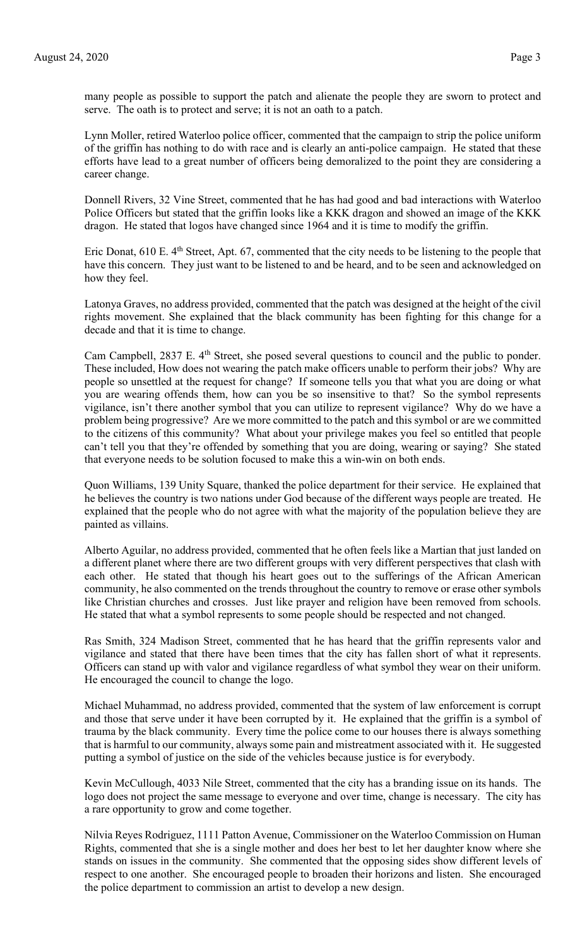many people as possible to support the patch and alienate the people they are sworn to protect and serve. The oath is to protect and serve; it is not an oath to a patch.

Lynn Moller, retired Waterloo police officer, commented that the campaign to strip the police uniform of the griffin has nothing to do with race and is clearly an anti-police campaign. He stated that these efforts have lead to a great number of officers being demoralized to the point they are considering a career change.

Donnell Rivers, 32 Vine Street, commented that he has had good and bad interactions with Waterloo Police Officers but stated that the griffin looks like a KKK dragon and showed an image of the KKK dragon. He stated that logos have changed since 1964 and it is time to modify the griffin.

Eric Donat,  $610$  E.  $4<sup>th</sup>$  Street, Apt. 67, commented that the city needs to be listening to the people that have this concern. They just want to be listened to and be heard, and to be seen and acknowledged on how they feel.

Latonya Graves, no address provided, commented that the patch was designed at the height of the civil rights movement. She explained that the black community has been fighting for this change for a decade and that it is time to change.

Cam Campbell, 2837 E. 4<sup>th</sup> Street, she posed several questions to council and the public to ponder. These included, How does not wearing the patch make officers unable to perform their jobs? Why are people so unsettled at the request for change? If someone tells you that what you are doing or what you are wearing offends them, how can you be so insensitive to that? So the symbol represents vigilance, isn't there another symbol that you can utilize to represent vigilance? Why do we have a problem being progressive? Are we more committed to the patch and this symbol or are we committed to the citizens of this community? What about your privilege makes you feel so entitled that people can't tell you that they're offended by something that you are doing, wearing or saying? She stated that everyone needs to be solution focused to make this a win-win on both ends.

Quon Williams, 139 Unity Square, thanked the police department for their service. He explained that he believes the country is two nations under God because of the different ways people are treated. He explained that the people who do not agree with what the majority of the population believe they are painted as villains.

Alberto Aguilar, no address provided, commented that he often feels like a Martian that just landed on a different planet where there are two different groups with very different perspectives that clash with each other. He stated that though his heart goes out to the sufferings of the African American community, he also commented on the trends throughout the country to remove or erase other symbols like Christian churches and crosses. Just like prayer and religion have been removed from schools. He stated that what a symbol represents to some people should be respected and not changed.

Ras Smith, 324 Madison Street, commented that he has heard that the griffin represents valor and vigilance and stated that there have been times that the city has fallen short of what it represents. Officers can stand up with valor and vigilance regardless of what symbol they wear on their uniform. He encouraged the council to change the logo.

Michael Muhammad, no address provided, commented that the system of law enforcement is corrupt and those that serve under it have been corrupted by it. He explained that the griffin is a symbol of trauma by the black community. Every time the police come to our houses there is always something that is harmful to our community, always some pain and mistreatment associated with it. He suggested putting a symbol of justice on the side of the vehicles because justice is for everybody.

Kevin McCullough, 4033 Nile Street, commented that the city has a branding issue on its hands. The logo does not project the same message to everyone and over time, change is necessary. The city has a rare opportunity to grow and come together.

Nilvia Reyes Rodriguez, 1111 Patton Avenue, Commissioner on the Waterloo Commission on Human Rights, commented that she is a single mother and does her best to let her daughter know where she stands on issues in the community. She commented that the opposing sides show different levels of respect to one another. She encouraged people to broaden their horizons and listen. She encouraged the police department to commission an artist to develop a new design.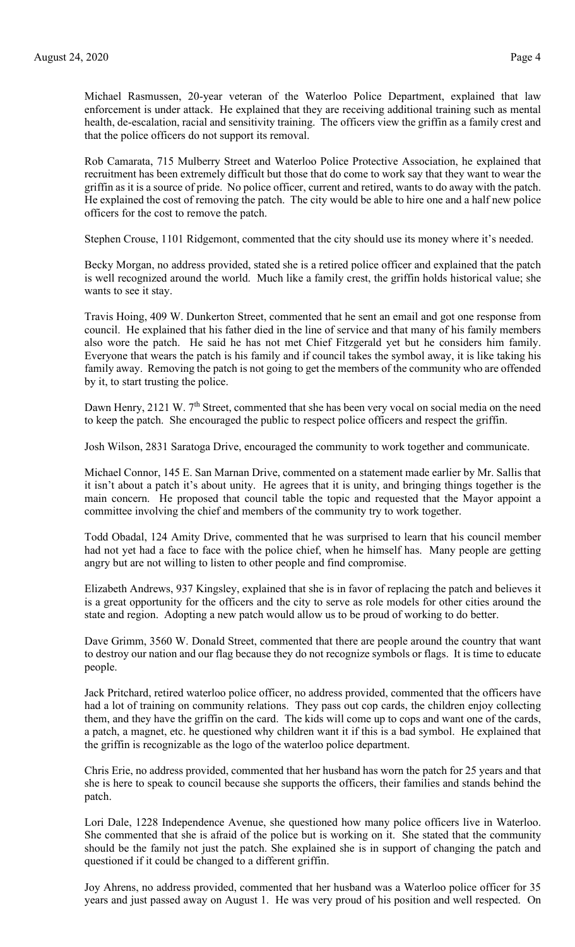Michael Rasmussen, 20-year veteran of the Waterloo Police Department, explained that law enforcement is under attack. He explained that they are receiving additional training such as mental health, de-escalation, racial and sensitivity training. The officers view the griffin as a family crest and that the police officers do not support its removal.

Rob Camarata, 715 Mulberry Street and Waterloo Police Protective Association, he explained that recruitment has been extremely difficult but those that do come to work say that they want to wear the griffin as it is a source of pride. No police officer, current and retired, wants to do away with the patch. He explained the cost of removing the patch. The city would be able to hire one and a half new police officers for the cost to remove the patch.

Stephen Crouse, 1101 Ridgemont, commented that the city should use its money where it's needed.

Becky Morgan, no address provided, stated she is a retired police officer and explained that the patch is well recognized around the world. Much like a family crest, the griffin holds historical value; she wants to see it stay.

Travis Hoing, 409 W. Dunkerton Street, commented that he sent an email and got one response from council. He explained that his father died in the line of service and that many of his family members also wore the patch. He said he has not met Chief Fitzgerald yet but he considers him family. Everyone that wears the patch is his family and if council takes the symbol away, it is like taking his family away. Removing the patch is not going to get the members of the community who are offended by it, to start trusting the police.

Dawn Henry, 2121 W. 7<sup>th</sup> Street, commented that she has been very vocal on social media on the need to keep the patch. She encouraged the public to respect police officers and respect the griffin.

Josh Wilson, 2831 Saratoga Drive, encouraged the community to work together and communicate.

Michael Connor, 145 E. San Marnan Drive, commented on a statement made earlier by Mr. Sallis that it isn't about a patch it's about unity. He agrees that it is unity, and bringing things together is the main concern. He proposed that council table the topic and requested that the Mayor appoint a committee involving the chief and members of the community try to work together.

Todd Obadal, 124 Amity Drive, commented that he was surprised to learn that his council member had not yet had a face to face with the police chief, when he himself has. Many people are getting angry but are not willing to listen to other people and find compromise.

Elizabeth Andrews, 937 Kingsley, explained that she is in favor of replacing the patch and believes it is a great opportunity for the officers and the city to serve as role models for other cities around the state and region. Adopting a new patch would allow us to be proud of working to do better.

Dave Grimm, 3560 W. Donald Street, commented that there are people around the country that want to destroy our nation and our flag because they do not recognize symbols or flags. It is time to educate people.

Jack Pritchard, retired waterloo police officer, no address provided, commented that the officers have had a lot of training on community relations. They pass out cop cards, the children enjoy collecting them, and they have the griffin on the card. The kids will come up to cops and want one of the cards, a patch, a magnet, etc. he questioned why children want it if this is a bad symbol. He explained that the griffin is recognizable as the logo of the waterloo police department.

Chris Erie, no address provided, commented that her husband has worn the patch for 25 years and that she is here to speak to council because she supports the officers, their families and stands behind the patch.

Lori Dale, 1228 Independence Avenue, she questioned how many police officers live in Waterloo. She commented that she is afraid of the police but is working on it. She stated that the community should be the family not just the patch. She explained she is in support of changing the patch and questioned if it could be changed to a different griffin.

Joy Ahrens, no address provided, commented that her husband was a Waterloo police officer for 35 years and just passed away on August 1. He was very proud of his position and well respected. On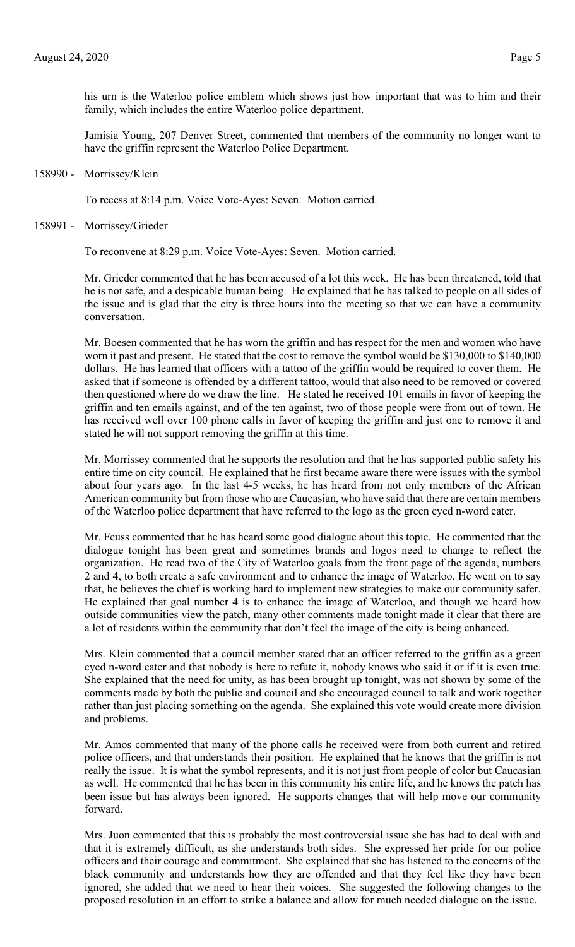his urn is the Waterloo police emblem which shows just how important that was to him and their family, which includes the entire Waterloo police department.

Jamisia Young, 207 Denver Street, commented that members of the community no longer want to have the griffin represent the Waterloo Police Department.

158990 - Morrissey/Klein

To recess at 8:14 p.m. Voice Vote-Ayes: Seven. Motion carried.

158991 - Morrissey/Grieder

To reconvene at 8:29 p.m. Voice Vote-Ayes: Seven. Motion carried.

Mr. Grieder commented that he has been accused of a lot this week. He has been threatened, told that he is not safe, and a despicable human being. He explained that he has talked to people on all sides of the issue and is glad that the city is three hours into the meeting so that we can have a community conversation.

Mr. Boesen commented that he has worn the griffin and has respect for the men and women who have worn it past and present. He stated that the cost to remove the symbol would be \$130,000 to \$140,000 dollars. He has learned that officers with a tattoo of the griffin would be required to cover them. He asked that if someone is offended by a different tattoo, would that also need to be removed or covered then questioned where do we draw the line. He stated he received 101 emails in favor of keeping the griffin and ten emails against, and of the ten against, two of those people were from out of town. He has received well over 100 phone calls in favor of keeping the griffin and just one to remove it and stated he will not support removing the griffin at this time.

Mr. Morrissey commented that he supports the resolution and that he has supported public safety his entire time on city council. He explained that he first became aware there were issues with the symbol about four years ago. In the last 4-5 weeks, he has heard from not only members of the African American community but from those who are Caucasian, who have said that there are certain members of the Waterloo police department that have referred to the logo as the green eyed n-word eater.

Mr. Feuss commented that he has heard some good dialogue about this topic. He commented that the dialogue tonight has been great and sometimes brands and logos need to change to reflect the organization. He read two of the City of Waterloo goals from the front page of the agenda, numbers 2 and 4, to both create a safe environment and to enhance the image of Waterloo. He went on to say that, he believes the chief is working hard to implement new strategies to make our community safer. He explained that goal number 4 is to enhance the image of Waterloo, and though we heard how outside communities view the patch, many other comments made tonight made it clear that there are a lot of residents within the community that don't feel the image of the city is being enhanced.

Mrs. Klein commented that a council member stated that an officer referred to the griffin as a green eyed n-word eater and that nobody is here to refute it, nobody knows who said it or if it is even true. She explained that the need for unity, as has been brought up tonight, was not shown by some of the comments made by both the public and council and she encouraged council to talk and work together rather than just placing something on the agenda. She explained this vote would create more division and problems.

Mr. Amos commented that many of the phone calls he received were from both current and retired police officers, and that understands their position. He explained that he knows that the griffin is not really the issue. It is what the symbol represents, and it is not just from people of color but Caucasian as well. He commented that he has been in this community his entire life, and he knows the patch has been issue but has always been ignored. He supports changes that will help move our community forward.

Mrs. Juon commented that this is probably the most controversial issue she has had to deal with and that it is extremely difficult, as she understands both sides. She expressed her pride for our police officers and their courage and commitment. She explained that she has listened to the concerns of the black community and understands how they are offended and that they feel like they have been ignored, she added that we need to hear their voices. She suggested the following changes to the proposed resolution in an effort to strike a balance and allow for much needed dialogue on the issue.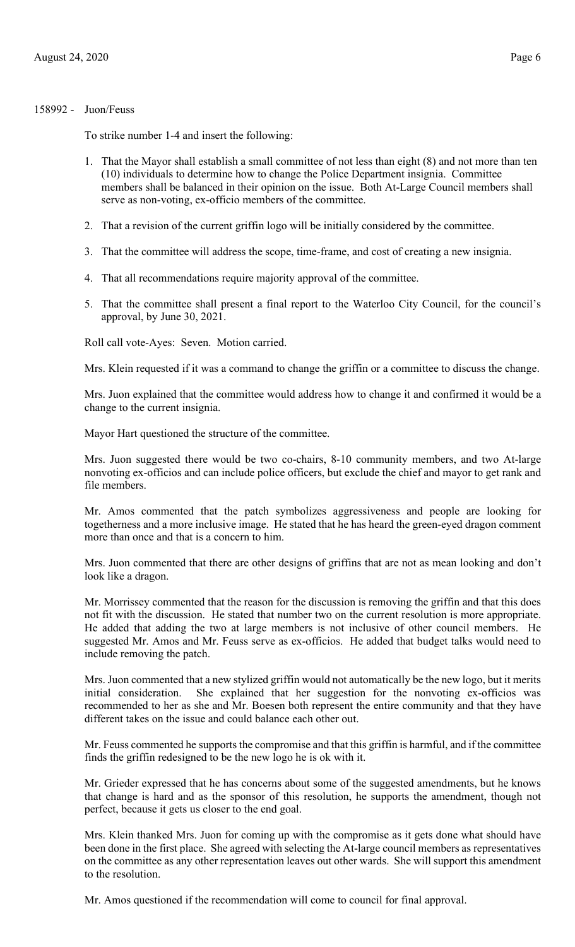# 158992 - Juon/Feuss

To strike number 1-4 and insert the following:

- 1. That the Mayor shall establish a small committee of not less than eight (8) and not more than ten (10) individuals to determine how to change the Police Department insignia. Committee members shall be balanced in their opinion on the issue. Both At-Large Council members shall serve as non-voting, ex-officio members of the committee.
- 2. That a revision of the current griffin logo will be initially considered by the committee.
- 3. That the committee will address the scope, time-frame, and cost of creating a new insignia.
- 4. That all recommendations require majority approval of the committee.
- 5. That the committee shall present a final report to the Waterloo City Council, for the council's approval, by June 30, 2021.

Roll call vote-Ayes: Seven. Motion carried.

Mrs. Klein requested if it was a command to change the griffin or a committee to discuss the change.

Mrs. Juon explained that the committee would address how to change it and confirmed it would be a change to the current insignia.

Mayor Hart questioned the structure of the committee.

Mrs. Juon suggested there would be two co-chairs, 8-10 community members, and two At-large nonvoting ex-officios and can include police officers, but exclude the chief and mayor to get rank and file members.

Mr. Amos commented that the patch symbolizes aggressiveness and people are looking for togetherness and a more inclusive image. He stated that he has heard the green-eyed dragon comment more than once and that is a concern to him.

Mrs. Juon commented that there are other designs of griffins that are not as mean looking and don't look like a dragon.

Mr. Morrissey commented that the reason for the discussion is removing the griffin and that this does not fit with the discussion. He stated that number two on the current resolution is more appropriate. He added that adding the two at large members is not inclusive of other council members. He suggested Mr. Amos and Mr. Feuss serve as ex-officios. He added that budget talks would need to include removing the patch.

Mrs. Juon commented that a new stylized griffin would not automatically be the new logo, but it merits initial consideration. She explained that her suggestion for the nonvoting ex-officios was recommended to her as she and Mr. Boesen both represent the entire community and that they have different takes on the issue and could balance each other out.

Mr. Feuss commented he supports the compromise and that this griffin is harmful, and if the committee finds the griffin redesigned to be the new logo he is ok with it.

Mr. Grieder expressed that he has concerns about some of the suggested amendments, but he knows that change is hard and as the sponsor of this resolution, he supports the amendment, though not perfect, because it gets us closer to the end goal.

Mrs. Klein thanked Mrs. Juon for coming up with the compromise as it gets done what should have been done in the first place. She agreed with selecting the At-large council members as representatives on the committee as any other representation leaves out other wards. She will support this amendment to the resolution.

Mr. Amos questioned if the recommendation will come to council for final approval.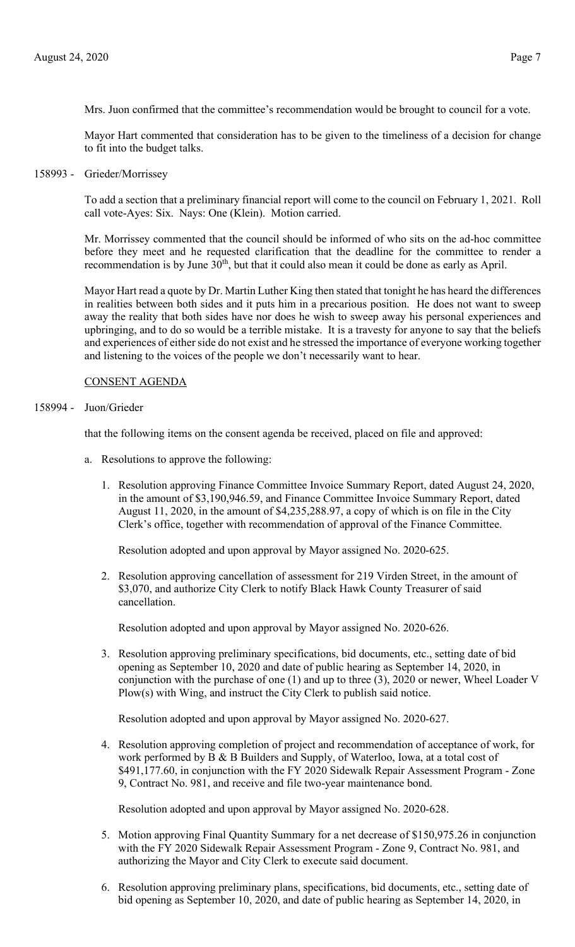Mrs. Juon confirmed that the committee's recommendation would be brought to council for a vote.

Mayor Hart commented that consideration has to be given to the timeliness of a decision for change to fit into the budget talks.

158993 - Grieder/Morrissey

To add a section that a preliminary financial report will come to the council on February 1, 2021. Roll call vote-Ayes: Six. Nays: One (Klein). Motion carried.

Mr. Morrissey commented that the council should be informed of who sits on the ad-hoc committee before they meet and he requested clarification that the deadline for the committee to render a recommendation is by June  $30<sup>th</sup>$ , but that it could also mean it could be done as early as April.

Mayor Hart read a quote by Dr. Martin Luther King then stated that tonight he has heard the differences in realities between both sides and it puts him in a precarious position. He does not want to sweep away the reality that both sides have nor does he wish to sweep away his personal experiences and upbringing, and to do so would be a terrible mistake. It is a travesty for anyone to say that the beliefs and experiences of either side do not exist and he stressed the importance of everyone working together and listening to the voices of the people we don't necessarily want to hear.

# CONSENT AGENDA

# 158994 - Juon/Grieder

that the following items on the consent agenda be received, placed on file and approved:

- a. Resolutions to approve the following:
	- 1. Resolution approving Finance Committee Invoice Summary Report, dated August 24, 2020, in the amount of \$3,190,946.59, and Finance Committee Invoice Summary Report, dated August 11, 2020, in the amount of \$4,235,288.97, a copy of which is on file in the City Clerk's office, together with recommendation of approval of the Finance Committee.

Resolution adopted and upon approval by Mayor assigned No. 2020-625.

2. Resolution approving cancellation of assessment for 219 Virden Street, in the amount of \$3,070, and authorize City Clerk to notify Black Hawk County Treasurer of said cancellation.

Resolution adopted and upon approval by Mayor assigned No. 2020-626.

3. Resolution approving preliminary specifications, bid documents, etc., setting date of bid opening as September 10, 2020 and date of public hearing as September 14, 2020, in conjunction with the purchase of one (1) and up to three (3), 2020 or newer, Wheel Loader V Plow(s) with Wing, and instruct the City Clerk to publish said notice.

Resolution adopted and upon approval by Mayor assigned No. 2020-627.

4. Resolution approving completion of project and recommendation of acceptance of work, for work performed by B & B Builders and Supply, of Waterloo, Iowa, at a total cost of \$491,177.60, in conjunction with the FY 2020 Sidewalk Repair Assessment Program - Zone 9, Contract No. 981, and receive and file two-year maintenance bond.

Resolution adopted and upon approval by Mayor assigned No. 2020-628.

- 5. Motion approving Final Quantity Summary for a net decrease of \$150,975.26 in conjunction with the FY 2020 Sidewalk Repair Assessment Program - Zone 9, Contract No. 981, and authorizing the Mayor and City Clerk to execute said document.
- 6. Resolution approving preliminary plans, specifications, bid documents, etc., setting date of bid opening as September 10, 2020, and date of public hearing as September 14, 2020, in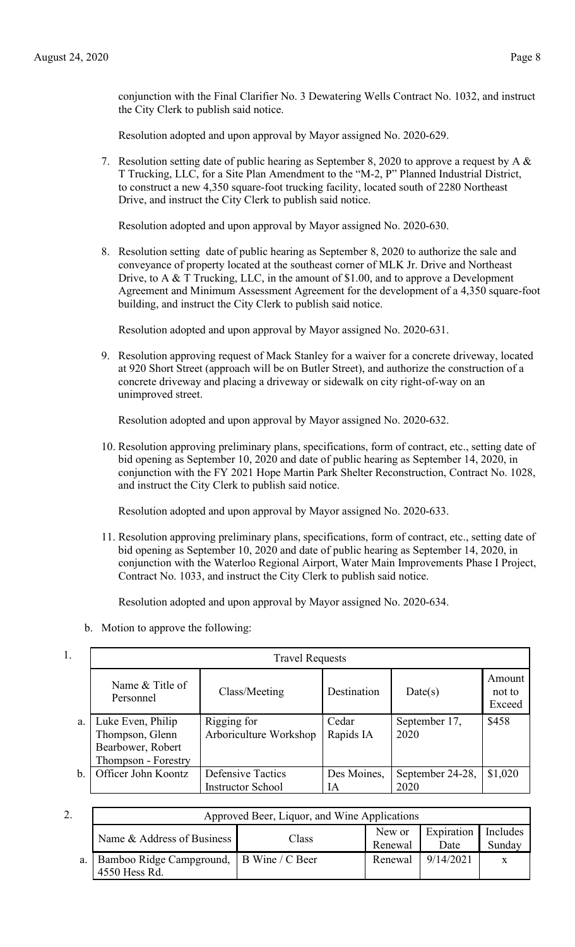conjunction with the Final Clarifier No. 3 Dewatering Wells Contract No. 1032, and instruct the City Clerk to publish said notice.

Resolution adopted and upon approval by Mayor assigned No. 2020-629.

7. Resolution setting date of public hearing as September 8, 2020 to approve a request by A  $\&$ T Trucking, LLC, for a Site Plan Amendment to the "M-2, P" Planned Industrial District, to construct a new 4,350 square-foot trucking facility, located south of 2280 Northeast Drive, and instruct the City Clerk to publish said notice.

Resolution adopted and upon approval by Mayor assigned No. 2020-630.

8. Resolution setting date of public hearing as September 8, 2020 to authorize the sale and conveyance of property located at the southeast corner of MLK Jr. Drive and Northeast Drive, to A & T Trucking, LLC, in the amount of \$1.00, and to approve a Development Agreement and Minimum Assessment Agreement for the development of a 4,350 square-foot building, and instruct the City Clerk to publish said notice.

Resolution adopted and upon approval by Mayor assigned No. 2020-631.

9. Resolution approving request of Mack Stanley for a waiver for a concrete driveway, located at 920 Short Street (approach will be on Butler Street), and authorize the construction of a concrete driveway and placing a driveway or sidewalk on city right-of-way on an unimproved street.

Resolution adopted and upon approval by Mayor assigned No. 2020-632.

10. Resolution approving preliminary plans, specifications, form of contract, etc., setting date of bid opening as September 10, 2020 and date of public hearing as September 14, 2020, in conjunction with the FY 2021 Hope Martin Park Shelter Reconstruction, Contract No. 1028, and instruct the City Clerk to publish said notice.

Resolution adopted and upon approval by Mayor assigned No. 2020-633.

11. Resolution approving preliminary plans, specifications, form of contract, etc., setting date of bid opening as September 10, 2020 and date of public hearing as September 14, 2020, in conjunction with the Waterloo Regional Airport, Water Main Improvements Phase I Project, Contract No. 1033, and instruct the City Clerk to publish said notice.

Resolution adopted and upon approval by Mayor assigned No. 2020-634.

b. Motion to approve the following:

| 1. | <b>Travel Requests</b>                                                           |                                                      |                    |                          |                            |  |
|----|----------------------------------------------------------------------------------|------------------------------------------------------|--------------------|--------------------------|----------------------------|--|
|    | Name & Title of<br>Personnel                                                     | Class/Meeting                                        | Destination        | Date(s)                  | Amount<br>not to<br>Exceed |  |
| a. | Luke Even, Philip<br>Thompson, Glenn<br>Bearbower, Robert<br>Thompson - Forestry | Rigging for<br>Arboriculture Workshop                | Cedar<br>Rapids IA | September 17,<br>2020    | \$458                      |  |
| b. | Officer John Koontz                                                              | <b>Defensive Tactics</b><br><b>Instructor School</b> | Des Moines,<br>IA  | September 24-28,<br>2020 | \$1,020                    |  |

| ۷. | Approved Beer, Liquor, and Wine Applications              |       |                   |                    |                    |  |
|----|-----------------------------------------------------------|-------|-------------------|--------------------|--------------------|--|
|    | Name & Address of Business                                | Class | New or<br>Renewal | Expiration<br>Date | Includes<br>Sunday |  |
| a. | Bamboo Ridge Campground, B Wine / C Beer<br>4550 Hess Rd. |       | Renewal           | 9/14/2021          |                    |  |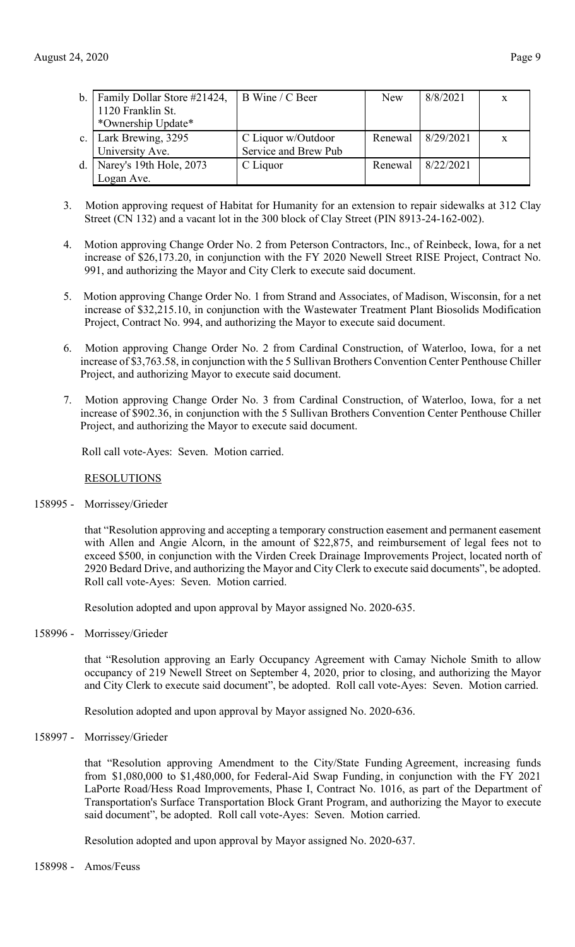| $b_{-}$        | Family Dollar Store #21424, | B Wine / C Beer      | New     | 8/8/2021  | X            |
|----------------|-----------------------------|----------------------|---------|-----------|--------------|
|                | 1120 Franklin St.           |                      |         |           |              |
|                | *Ownership Update*          |                      |         |           |              |
| $\mathbf{c}$ . | Lark Brewing, 3295          | C Liquor w/Outdoor   | Renewal | 8/29/2021 | $\mathbf{x}$ |
|                | University Ave.             | Service and Brew Pub |         |           |              |
| d.             | Narey's 19th Hole, 2073     | C Liquor             | Renewal | 8/22/2021 |              |
|                | Logan Ave.                  |                      |         |           |              |

- 3. Motion approving request of Habitat for Humanity for an extension to repair sidewalks at 312 Clay Street (CN 132) and a vacant lot in the 300 block of Clay Street (PIN 8913-24-162-002).
- 4. Motion approving Change Order No. 2 from Peterson Contractors, Inc., of Reinbeck, Iowa, for a net increase of \$26,173.20, in conjunction with the FY 2020 Newell Street RISE Project, Contract No. 991, and authorizing the Mayor and City Clerk to execute said document.
- 5. Motion approving Change Order No. 1 from Strand and Associates, of Madison, Wisconsin, for a net increase of \$32,215.10, in conjunction with the Wastewater Treatment Plant Biosolids Modification Project, Contract No. 994, and authorizing the Mayor to execute said document.
- 6. Motion approving Change Order No. 2 from Cardinal Construction, of Waterloo, Iowa, for a net increase of \$3,763.58, in conjunction with the 5 Sullivan Brothers Convention Center Penthouse Chiller Project, and authorizing Mayor to execute said document.
- 7. Motion approving Change Order No. 3 from Cardinal Construction, of Waterloo, Iowa, for a net increase of \$902.36, in conjunction with the 5 Sullivan Brothers Convention Center Penthouse Chiller Project, and authorizing the Mayor to execute said document.

Roll call vote-Ayes: Seven. Motion carried.

## RESOLUTIONS

158995 - Morrissey/Grieder

that "Resolution approving and accepting a temporary construction easement and permanent easement with Allen and Angie Alcorn, in the amount of \$22,875, and reimbursement of legal fees not to exceed \$500, in conjunction with the Virden Creek Drainage Improvements Project, located north of 2920 Bedard Drive, and authorizing the Mayor and City Clerk to execute said documents", be adopted. Roll call vote-Ayes: Seven. Motion carried.

Resolution adopted and upon approval by Mayor assigned No. 2020-635.

158996 - Morrissey/Grieder

that "Resolution approving an Early Occupancy Agreement with Camay Nichole Smith to allow occupancy of 219 Newell Street on September 4, 2020, prior to closing, and authorizing the Mayor and City Clerk to execute said document", be adopted. Roll call vote-Ayes: Seven. Motion carried.

Resolution adopted and upon approval by Mayor assigned No. 2020-636.

158997 - Morrissey/Grieder

that "Resolution approving Amendment to the City/State Funding Agreement, increasing funds from \$1,080,000 to \$1,480,000, for Federal-Aid Swap Funding, in conjunction with the FY 2021 LaPorte Road/Hess Road Improvements, Phase I, Contract No. 1016, as part of the Department of Transportation's Surface Transportation Block Grant Program, and authorizing the Mayor to execute said document", be adopted. Roll call vote-Ayes: Seven. Motion carried.

Resolution adopted and upon approval by Mayor assigned No. 2020-637.

158998 - Amos/Feuss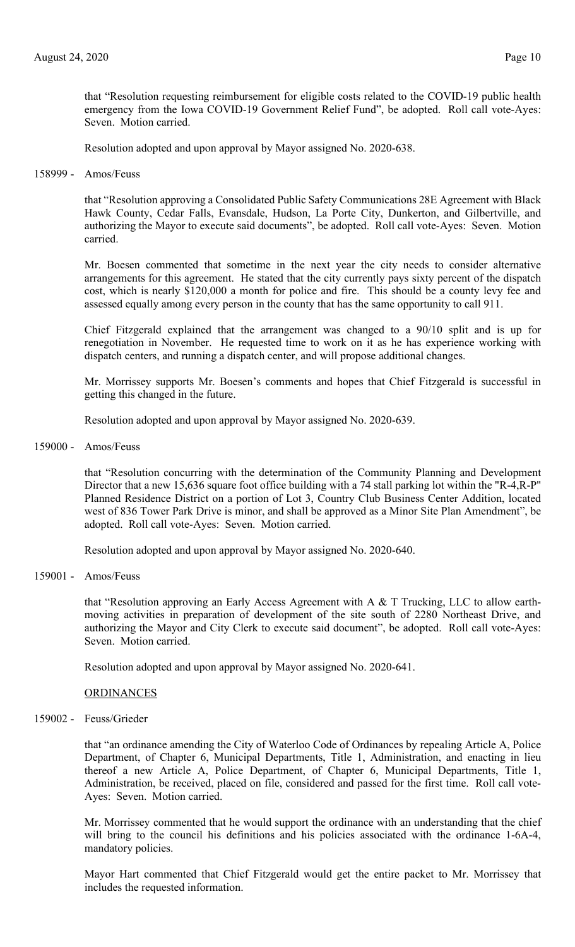that "Resolution requesting reimbursement for eligible costs related to the COVID-19 public health emergency from the Iowa COVID-19 Government Relief Fund", be adopted. Roll call vote-Ayes: Seven. Motion carried.

Resolution adopted and upon approval by Mayor assigned No. 2020-638.

158999 - Amos/Feuss

that "Resolution approving a Consolidated Public Safety Communications 28E Agreement with Black Hawk County, Cedar Falls, Evansdale, Hudson, La Porte City, Dunkerton, and Gilbertville, and authorizing the Mayor to execute said documents", be adopted. Roll call vote-Ayes: Seven. Motion carried.

Mr. Boesen commented that sometime in the next year the city needs to consider alternative arrangements for this agreement. He stated that the city currently pays sixty percent of the dispatch cost, which is nearly \$120,000 a month for police and fire. This should be a county levy fee and assessed equally among every person in the county that has the same opportunity to call 911.

Chief Fitzgerald explained that the arrangement was changed to a 90/10 split and is up for renegotiation in November. He requested time to work on it as he has experience working with dispatch centers, and running a dispatch center, and will propose additional changes.

Mr. Morrissey supports Mr. Boesen's comments and hopes that Chief Fitzgerald is successful in getting this changed in the future.

Resolution adopted and upon approval by Mayor assigned No. 2020-639.

159000 - Amos/Feuss

that "Resolution concurring with the determination of the Community Planning and Development Director that a new 15,636 square foot office building with a 74 stall parking lot within the "R-4,R-P" Planned Residence District on a portion of Lot 3, Country Club Business Center Addition, located west of 836 Tower Park Drive is minor, and shall be approved as a Minor Site Plan Amendment", be adopted. Roll call vote-Ayes: Seven. Motion carried.

Resolution adopted and upon approval by Mayor assigned No. 2020-640.

159001 - Amos/Feuss

that "Resolution approving an Early Access Agreement with A & T Trucking, LLC to allow earthmoving activities in preparation of development of the site south of 2280 Northeast Drive, and authorizing the Mayor and City Clerk to execute said document", be adopted. Roll call vote-Ayes: Seven. Motion carried.

Resolution adopted and upon approval by Mayor assigned No. 2020-641.

## **ORDINANCES**

159002 - Feuss/Grieder

that "an ordinance amending the City of Waterloo Code of Ordinances by repealing Article A, Police Department, of Chapter 6, Municipal Departments, Title 1, Administration, and enacting in lieu thereof a new Article A, Police Department, of Chapter 6, Municipal Departments, Title 1, Administration, be received, placed on file, considered and passed for the first time. Roll call vote-Ayes: Seven. Motion carried.

Mr. Morrissey commented that he would support the ordinance with an understanding that the chief will bring to the council his definitions and his policies associated with the ordinance 1-6A-4, mandatory policies.

Mayor Hart commented that Chief Fitzgerald would get the entire packet to Mr. Morrissey that includes the requested information.